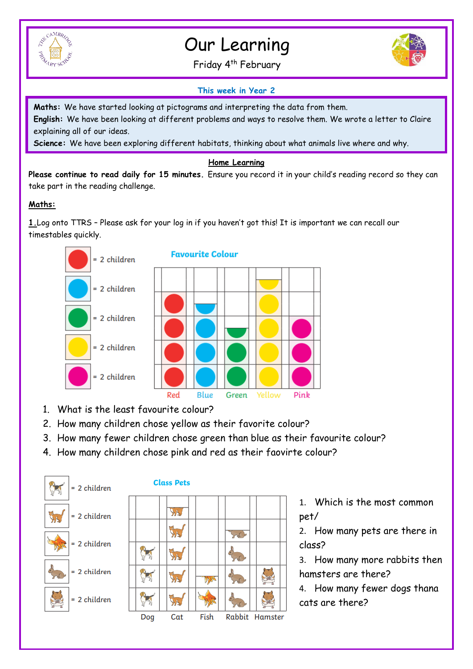

## Our Learning

Friday 4<sup>th</sup> February



## **This week in Year 2**

**Maths:** We have started looking at pictograms and interpreting the data from them. **English:** We have been looking at different problems and ways to resolve them. We wrote a letter to Claire explaining all of our ideas.

**Science:** We have been exploring different habitats, thinking about what animals live where and why.

## **Home Learning**

**Please continue to read daily for 15 minutes.** Ensure you record it in your child's reading record so they can take part in the reading challenge.

## **Maths:**

**1.**Log onto TTRS – Please ask for your log in if you haven't got this! It is important we can recall our timestables quickly.



- 1. What is the least favourite colour?
- 2. How many children chose yellow as their favorite colour?
- 3. How many fewer children chose green than blue as their favourite colour?
- 4. How many children chose pink and red as their faovirte colour?



1. Which is the most common pet/

2. How many pets are there in class?

3. How many more rabbits then hamsters are there?

4. How many fewer dogs thana cats are there?